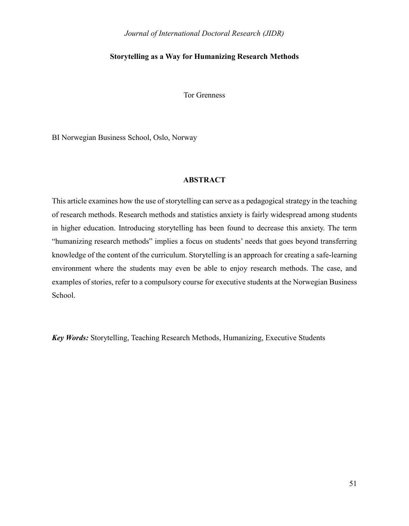# **Storytelling as a Way for Humanizing Research Methods**

Tor Grenness

BI Norwegian Business School, Oslo, Norway

# **ABSTRACT**

This article examines how the use of storytelling can serve as a pedagogical strategy in the teaching of research methods. Research methods and statistics anxiety is fairly widespread among students in higher education. Introducing storytelling has been found to decrease this anxiety. The term "humanizing research methods" implies a focus on students' needs that goes beyond transferring knowledge of the content of the curriculum. Storytelling is an approach for creating a safe-learning environment where the students may even be able to enjoy research methods. The case, and examples of stories, refer to a compulsory course for executive students at the Norwegian Business School.

*Key Words:* Storytelling, Teaching Research Methods, Humanizing, Executive Students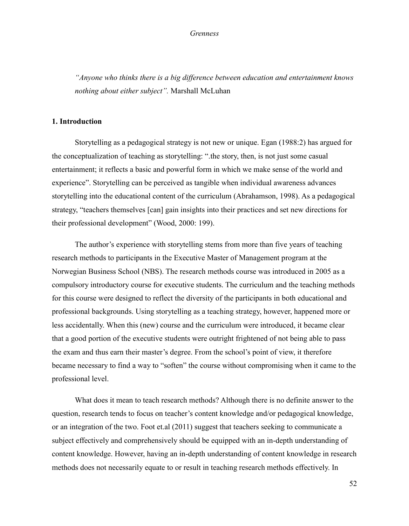*"Anyone who thinks there is a big difference between education and entertainment knows nothing about either subject".* Marshall McLuhan

# **1. Introduction**

Storytelling as a pedagogical strategy is not new or unique. Egan (1988:2) has argued for the conceptualization of teaching as storytelling: ".the story, then, is not just some casual entertainment; it reflects a basic and powerful form in which we make sense of the world and experience". Storytelling can be perceived as tangible when individual awareness advances storytelling into the educational content of the curriculum (Abrahamson, 1998). As a pedagogical strategy, "teachers themselves [can] gain insights into their practices and set new directions for their professional development" (Wood, 2000: 199).

The author's experience with storytelling stems from more than five years of teaching research methods to participants in the Executive Master of Management program at the Norwegian Business School (NBS). The research methods course was introduced in 2005 as a compulsory introductory course for executive students. The curriculum and the teaching methods for this course were designed to reflect the diversity of the participants in both educational and professional backgrounds. Using storytelling as a teaching strategy, however, happened more or less accidentally. When this (new) course and the curriculum were introduced, it became clear that a good portion of the executive students were outright frightened of not being able to pass the exam and thus earn their master's degree. From the school's point of view, it therefore became necessary to find a way to "soften" the course without compromising when it came to the professional level.

What does it mean to teach research methods? Although there is no definite answer to the question, research tends to focus on teacher's content knowledge and/or pedagogical knowledge, or an integration of the two. Foot et.al (2011) suggest that teachers seeking to communicate a subject effectively and comprehensively should be equipped with an in-depth understanding of content knowledge. However, having an in-depth understanding of content knowledge in research methods does not necessarily equate to or result in teaching research methods effectively. In

52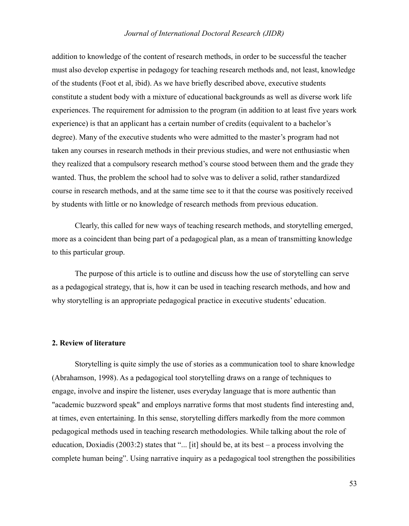addition to knowledge of the content of research methods, in order to be successful the teacher must also develop expertise in pedagogy for teaching research methods and, not least, knowledge of the students (Foot et al, ibid). As we have briefly described above, executive students constitute a student body with a mixture of educational backgrounds as well as diverse work life experiences. The requirement for admission to the program (in addition to at least five years work experience) is that an applicant has a certain number of credits (equivalent to a bachelor's degree). Many of the executive students who were admitted to the master's program had not taken any courses in research methods in their previous studies, and were not enthusiastic when they realized that a compulsory research method's course stood between them and the grade they wanted. Thus, the problem the school had to solve was to deliver a solid, rather standardized course in research methods, and at the same time see to it that the course was positively received by students with little or no knowledge of research methods from previous education.

Clearly, this called for new ways of teaching research methods, and storytelling emerged, more as a coincident than being part of a pedagogical plan, as a mean of transmitting knowledge to this particular group.

The purpose of this article is to outline and discuss how the use of storytelling can serve as a pedagogical strategy, that is, how it can be used in teaching research methods, and how and why storytelling is an appropriate pedagogical practice in executive students' education.

# **2. Review of literature**

Storytelling is quite simply the use of stories as a communication tool to share knowledge (Abrahamson, 1998). As a pedagogical tool storytelling draws on a range of techniques to engage, involve and inspire the listener, uses everyday language that is more authentic than "academic buzzword speak" and employs narrative forms that most students find interesting and, at times, even entertaining. In this sense, storytelling differs markedly from the more common pedagogical methods used in teaching research methodologies. While talking about the role of education, Doxiadis (2003:2) states that "... [it] should be, at its best – a process involving the complete human being". Using narrative inquiry as a pedagogical tool strengthen the possibilities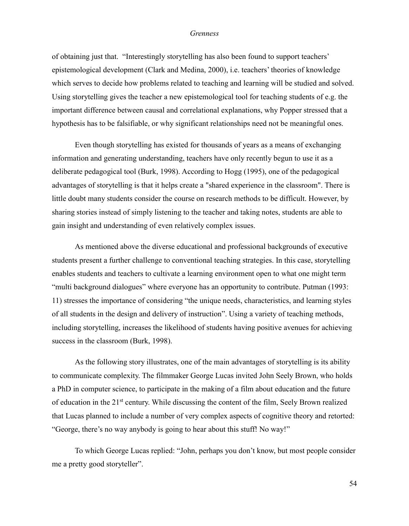of obtaining just that. "Interestingly storytelling has also been found to support teachers' epistemological development (Clark and Medina, 2000), i.e. teachers' theories of knowledge which serves to decide how problems related to teaching and learning will be studied and solved. Using storytelling gives the teacher a new epistemological tool for teaching students of e.g. the important difference between causal and correlational explanations, why Popper stressed that a hypothesis has to be falsifiable, or why significant relationships need not be meaningful ones.

Even though storytelling has existed for thousands of years as a means of exchanging information and generating understanding, teachers have only recently begun to use it as a deliberate pedagogical tool (Burk, 1998). According to Hogg (1995), one of the pedagogical advantages of storytelling is that it helps create a "shared experience in the classroom". There is little doubt many students consider the course on research methods to be difficult. However, by sharing stories instead of simply listening to the teacher and taking notes, students are able to gain insight and understanding of even relatively complex issues.

As mentioned above the diverse educational and professional backgrounds of executive students present a further challenge to conventional teaching strategies. In this case, storytelling enables students and teachers to cultivate a learning environment open to what one might term "multi background dialogues" where everyone has an opportunity to contribute. Putman (1993: 11) stresses the importance of considering "the unique needs, characteristics, and learning styles of all students in the design and delivery of instruction". Using a variety of teaching methods, including storytelling, increases the likelihood of students having positive avenues for achieving success in the classroom (Burk, 1998).

As the following story illustrates, one of the main advantages of storytelling is its ability to communicate complexity. The filmmaker George Lucas invited John Seely Brown, who holds a PhD in computer science, to participate in the making of a film about education and the future of education in the 21st century. While discussing the content of the film, Seely Brown realized that Lucas planned to include a number of very complex aspects of cognitive theory and retorted: "George, there's no way anybody is going to hear about this stuff! No way!"

To which George Lucas replied: "John, perhaps you don't know, but most people consider me a pretty good storyteller".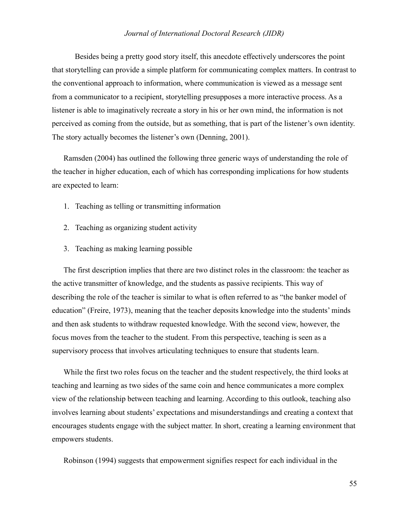Besides being a pretty good story itself, this anecdote effectively underscores the point that storytelling can provide a simple platform for communicating complex matters. In contrast to the conventional approach to information, where communication is viewed as a message sent from a communicator to a recipient, storytelling presupposes a more interactive process. As a listener is able to imaginatively recreate a story in his or her own mind, the information is not perceived as coming from the outside, but as something, that is part of the listener's own identity. The story actually becomes the listener's own (Denning, 2001).

Ramsden (2004) has outlined the following three generic ways of understanding the role of the teacher in higher education, each of which has corresponding implications for how students are expected to learn:

- 1. Teaching as telling or transmitting information
- 2. Teaching as organizing student activity
- 3. Teaching as making learning possible

The first description implies that there are two distinct roles in the classroom: the teacher as the active transmitter of knowledge, and the students as passive recipients. This way of describing the role of the teacher is similar to what is often referred to as "the banker model of education" (Freire, 1973), meaning that the teacher deposits knowledge into the students' minds and then ask students to withdraw requested knowledge. With the second view, however, the focus moves from the teacher to the student. From this perspective, teaching is seen as a supervisory process that involves articulating techniques to ensure that students learn.

While the first two roles focus on the teacher and the student respectively, the third looks at teaching and learning as two sides of the same coin and hence communicates a more complex view of the relationship between teaching and learning. According to this outlook, teaching also involves learning about students' expectations and misunderstandings and creating a context that encourages students engage with the subject matter. In short, creating a learning environment that empowers students.

Robinson (1994) suggests that empowerment signifies respect for each individual in the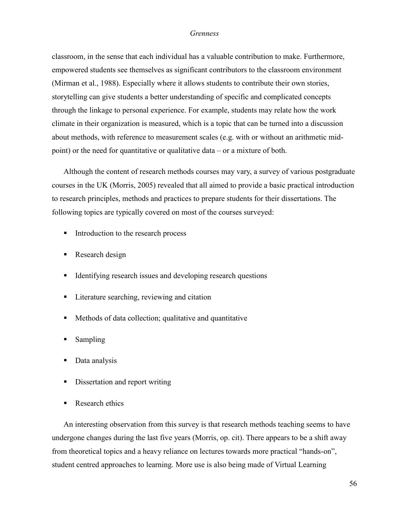classroom, in the sense that each individual has a valuable contribution to make. Furthermore, empowered students see themselves as significant contributors to the classroom environment (Mirman et al., 1988). Especially where it allows students to contribute their own stories, storytelling can give students a better understanding of specific and complicated concepts through the linkage to personal experience. For example, students may relate how the work climate in their organization is measured, which is a topic that can be turned into a discussion about methods, with reference to measurement scales (e.g. with or without an arithmetic midpoint) or the need for quantitative or qualitative data – or a mixture of both.

Although the content of research methods courses may vary, a survey of various postgraduate courses in the UK (Morris, 2005) revealed that all aimed to provide a basic practical introduction to research principles, methods and practices to prepare students for their dissertations. The following topics are typically covered on most of the courses surveyed:

- Introduction to the research process
- Research design
- Identifying research issues and developing research questions
- **Literature searching, reviewing and citation**
- Methods of data collection; qualitative and quantitative
- Sampling
- Data analysis
- Dissertation and report writing
- Research ethics

An interesting observation from this survey is that research methods teaching seems to have undergone changes during the last five years (Morris, op. cit). There appears to be a shift away from theoretical topics and a heavy reliance on lectures towards more practical "hands-on", student centred approaches to learning. More use is also being made of Virtual Learning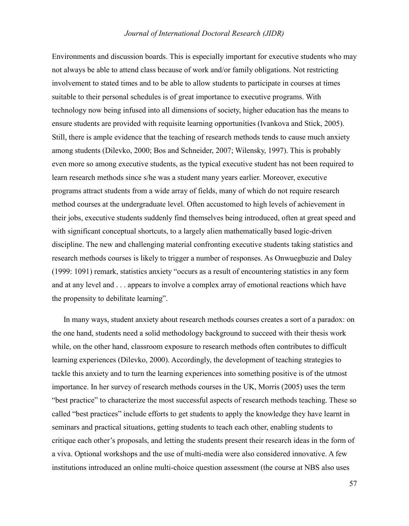Environments and discussion boards. This is especially important for executive students who may not always be able to attend class because of work and/or family obligations. Not restricting involvement to stated times and to be able to allow students to participate in courses at times suitable to their personal schedules is of great importance to executive programs. With technology now being infused into all dimensions of society, higher education has the means to ensure students are provided with requisite learning opportunities (Ivankova and Stick, 2005). Still, there is ample evidence that the teaching of research methods tends to cause much anxiety among students (Dilevko, 2000; Bos and Schneider, 2007; Wilensky, 1997). This is probably even more so among executive students, as the typical executive student has not been required to learn research methods since s/he was a student many years earlier. Moreover, executive programs attract students from a wide array of fields, many of which do not require research method courses at the undergraduate level. Often accustomed to high levels of achievement in their jobs, executive students suddenly find themselves being introduced, often at great speed and with significant conceptual shortcuts, to a largely alien mathematically based logic-driven discipline. The new and challenging material confronting executive students taking statistics and research methods courses is likely to trigger a number of responses. As Onwuegbuzie and Daley (1999: 1091) remark, statistics anxiety "occurs as a result of encountering statistics in any form and at any level and . . . appears to involve a complex array of emotional reactions which have the propensity to debilitate learning".

In many ways, student anxiety about research methods courses creates a sort of a paradox: on the one hand, students need a solid methodology background to succeed with their thesis work while, on the other hand, classroom exposure to research methods often contributes to difficult learning experiences (Dilevko, 2000). Accordingly, the development of teaching strategies to tackle this anxiety and to turn the learning experiences into something positive is of the utmost importance. In her survey of research methods courses in the UK, Morris (2005) uses the term "best practice" to characterize the most successful aspects of research methods teaching. These so called "best practices" include efforts to get students to apply the knowledge they have learnt in seminars and practical situations, getting students to teach each other, enabling students to critique each other's proposals, and letting the students present their research ideas in the form of a viva. Optional workshops and the use of multi-media were also considered innovative. A few institutions introduced an online multi-choice question assessment (the course at NBS also uses

57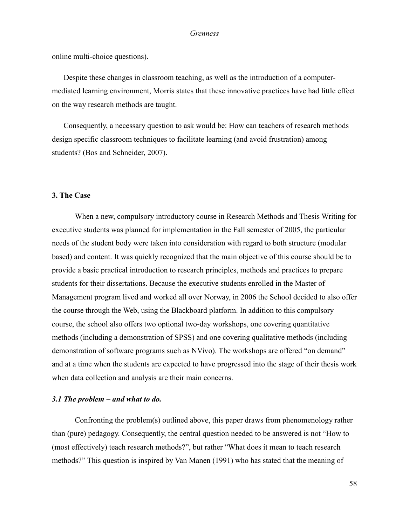online multi-choice questions).

Despite these changes in classroom teaching, as well as the introduction of a computermediated learning environment, Morris states that these innovative practices have had little effect on the way research methods are taught.

Consequently, a necessary question to ask would be: How can teachers of research methods design specific classroom techniques to facilitate learning (and avoid frustration) among students? (Bos and Schneider, 2007).

# **3. The Case**

When a new, compulsory introductory course in Research Methods and Thesis Writing for executive students was planned for implementation in the Fall semester of 2005, the particular needs of the student body were taken into consideration with regard to both structure (modular based) and content. It was quickly recognized that the main objective of this course should be to provide a basic practical introduction to research principles, methods and practices to prepare students for their dissertations. Because the executive students enrolled in the Master of Management program lived and worked all over Norway, in 2006 the School decided to also offer the course through the Web, using the Blackboard platform. In addition to this compulsory course, the school also offers two optional two-day workshops, one covering quantitative methods (including a demonstration of SPSS) and one covering qualitative methods (including demonstration of software programs such as NVivo). The workshops are offered "on demand" and at a time when the students are expected to have progressed into the stage of their thesis work when data collection and analysis are their main concerns.

# *3.1 The problem – and what to do.*

Confronting the problem(s) outlined above, this paper draws from phenomenology rather than (pure) pedagogy. Consequently, the central question needed to be answered is not "How to (most effectively) teach research methods?", but rather "What does it mean to teach research methods?" This question is inspired by Van Manen (1991) who has stated that the meaning of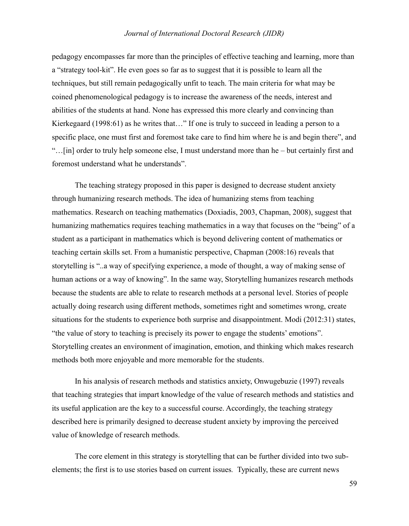pedagogy encompasses far more than the principles of effective teaching and learning, more than a "strategy tool-kit". He even goes so far as to suggest that it is possible to learn all the techniques, but still remain pedagogically unfit to teach. The main criteria for what may be coined phenomenological pedagogy is to increase the awareness of the needs, interest and abilities of the students at hand. None has expressed this more clearly and convincing than Kierkegaard (1998:61) as he writes that…" If one is truly to succeed in leading a person to a specific place, one must first and foremost take care to find him where he is and begin there", and "…[in] order to truly help someone else, I must understand more than he – but certainly first and foremost understand what he understands".

The teaching strategy proposed in this paper is designed to decrease student anxiety through humanizing research methods. The idea of humanizing stems from teaching mathematics. Research on teaching mathematics (Doxiadis, 2003, Chapman, 2008), suggest that humanizing mathematics requires teaching mathematics in a way that focuses on the "being" of a student as a participant in mathematics which is beyond delivering content of mathematics or teaching certain skills set. From a humanistic perspective, Chapman (2008:16) reveals that storytelling is "..a way of specifying experience, a mode of thought, a way of making sense of human actions or a way of knowing". In the same way, Storytelling humanizes research methods because the students are able to relate to research methods at a personal level. Stories of people actually doing research using different methods, sometimes right and sometimes wrong, create situations for the students to experience both surprise and disappointment. Modi (2012:31) states, "the value of story to teaching is precisely its power to engage the students' emotions". Storytelling creates an environment of imagination, emotion, and thinking which makes research methods both more enjoyable and more memorable for the students.

In his analysis of research methods and statistics anxiety, Onwugebuzie (1997) reveals that teaching strategies that impart knowledge of the value of research methods and statistics and its useful application are the key to a successful course. Accordingly, the teaching strategy described here is primarily designed to decrease student anxiety by improving the perceived value of knowledge of research methods.

The core element in this strategy is storytelling that can be further divided into two subelements; the first is to use stories based on current issues*.* Typically, these are current news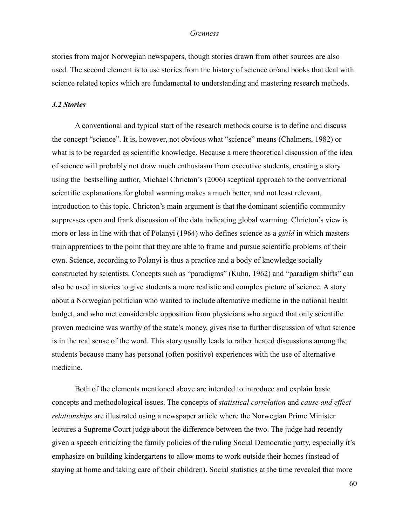stories from major Norwegian newspapers, though stories drawn from other sources are also used. The second element is to use stories from the history of science or/and books that deal with science related topics which are fundamental to understanding and mastering research methods.

# *3.2 Stories*

A conventional and typical start of the research methods course is to define and discuss the concept "science". It is, however, not obvious what "science" means (Chalmers, 1982) or what is to be regarded as scientific knowledge. Because a mere theoretical discussion of the idea of science will probably not draw much enthusiasm from executive students, creating a story using the bestselling author, Michael Chricton's (2006) sceptical approach to the conventional scientific explanations for global warming makes a much better, and not least relevant, introduction to this topic. Chricton's main argument is that the dominant scientific community suppresses open and frank discussion of the data indicating global warming. Chricton's view is more or less in line with that of Polanyi (1964) who defines science as a *guild* in which masters train apprentices to the point that they are able to frame and pursue scientific problems of their own. Science, according to Polanyi is thus a practice and a body of knowledge socially constructed by scientists. Concepts such as "paradigms" (Kuhn, 1962) and "paradigm shifts" can also be used in stories to give students a more realistic and complex picture of science. A story about a Norwegian politician who wanted to include alternative medicine in the national health budget, and who met considerable opposition from physicians who argued that only scientific proven medicine was worthy of the state's money, gives rise to further discussion of what science is in the real sense of the word. This story usually leads to rather heated discussions among the students because many has personal (often positive) experiences with the use of alternative medicine.

Both of the elements mentioned above are intended to introduce and explain basic concepts and methodological issues. The concepts of *statistical correlation* and *cause and effect relationships* are illustrated using a newspaper article where the Norwegian Prime Minister lectures a Supreme Court judge about the difference between the two. The judge had recently given a speech criticizing the family policies of the ruling Social Democratic party, especially it's emphasize on building kindergartens to allow moms to work outside their homes (instead of staying at home and taking care of their children). Social statistics at the time revealed that more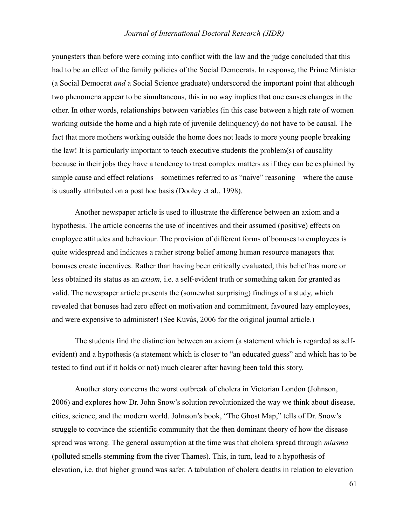youngsters than before were coming into conflict with the law and the judge concluded that this had to be an effect of the family policies of the Social Democrats. In response, the Prime Minister (a Social Democrat *and* a Social Science graduate) underscored the important point that although two phenomena appear to be simultaneous, this in no way implies that one causes changes in the other. In other words, relationships between variables (in this case between a high rate of women working outside the home and a high rate of juvenile delinquency) do not have to be causal. The fact that more mothers working outside the home does not leads to more young people breaking the law! It is particularly important to teach executive students the problem(s) of causality because in their jobs they have a tendency to treat complex matters as if they can be explained by simple cause and effect relations – sometimes referred to as "naive" reasoning – where the cause is usually attributed on a post hoc basis (Dooley et al., 1998).

Another newspaper article is used to illustrate the difference between an axiom and a hypothesis. The article concerns the use of incentives and their assumed (positive) effects on employee attitudes and behaviour. The provision of different forms of bonuses to employees is quite widespread and indicates a rather strong belief among human resource managers that bonuses create incentives. Rather than having been critically evaluated, this belief has more or less obtained its status as an *axiom,* i.e. a self-evident truth or something taken for granted as valid. The newspaper article presents the (somewhat surprising) findings of a study, which revealed that bonuses had zero effect on motivation and commitment, favoured lazy employees, and were expensive to administer! (See Kuvås, 2006 for the original journal article.)

The students find the distinction between an axiom (a statement which is regarded as selfevident) and a hypothesis (a statement which is closer to "an educated guess" and which has to be tested to find out if it holds or not) much clearer after having been told this story.

Another story concerns the worst outbreak of cholera in Victorian London (Johnson, 2006) and explores how Dr. John Snow's solution revolutionized the way we think about disease, cities, science, and the modern world. Johnson's book, "The Ghost Map," tells of Dr. Snow's struggle to convince the scientific community that the then dominant theory of how the disease spread was wrong. The general assumption at the time was that cholera spread through *miasma*  (polluted smells stemming from the river Thames). This, in turn, lead to a hypothesis of elevation, i.e. that higher ground was safer. A tabulation of cholera deaths in relation to elevation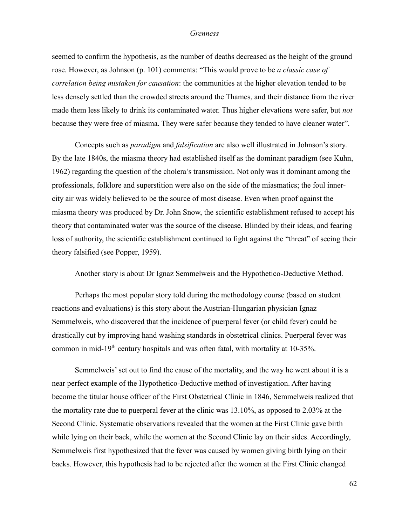seemed to confirm the hypothesis, as the number of deaths decreased as the height of the ground rose. However, as Johnson (p. 101) comments: "This would prove to be *a classic case of correlation being mistaken for causation*: the communities at the higher elevation tended to be less densely settled than the crowded streets around the Thames, and their distance from the river made them less likely to drink its contaminated water. Thus higher elevations were safer, but *not* because they were free of miasma. They were safer because they tended to have cleaner water".

Concepts such as *paradigm* and *falsification* are also well illustrated in Johnson's story. By the late 1840s, the miasma theory had established itself as the dominant paradigm (see Kuhn, 1962) regarding the question of the cholera's transmission. Not only was it dominant among the professionals, folklore and superstition were also on the side of the miasmatics; the foul innercity air was widely believed to be the source of most disease. Even when proof against the miasma theory was produced by Dr. John Snow, the scientific establishment refused to accept his theory that contaminated water was the source of the disease. Blinded by their ideas, and fearing loss of authority, the scientific establishment continued to fight against the "threat" of seeing their theory falsified (see Popper, 1959).

Another story is about Dr Ignaz Semmelweis and the Hypothetico-Deductive Method.

Perhaps the most popular story told during the methodology course (based on student reactions and evaluations) is this story about the Austrian-Hungarian physician Ignaz Semmelweis, who discovered that the incidence of puerperal fever (or child fever) could be drastically cut by improving hand washing standards in obstetrical clinics. Puerperal fever was common in mid-19th century hospitals and was often fatal, with mortality at 10-35%.

Semmelweis' set out to find the cause of the mortality, and the way he went about it is a near perfect example of the Hypothetico-Deductive method of investigation. After having become the titular house officer of the First Obstetrical Clinic in 1846, Semmelweis realized that the mortality rate due to puerperal fever at the clinic was 13.10%, as opposed to 2.03% at the Second Clinic. Systematic observations revealed that the women at the First Clinic gave birth while lying on their back, while the women at the Second Clinic lay on their sides. Accordingly, Semmelweis first hypothesized that the fever was caused by women giving birth lying on their backs. However, this hypothesis had to be rejected after the women at the First Clinic changed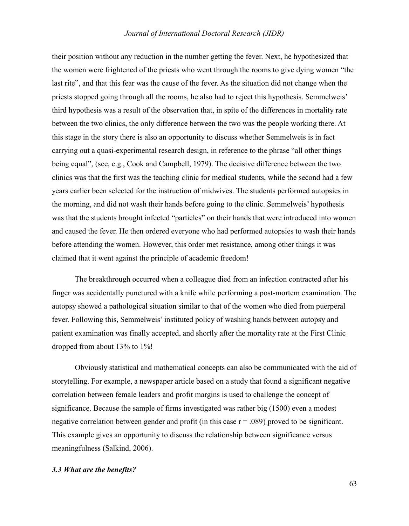their position without any reduction in the number getting the fever. Next, he hypothesized that the women were frightened of the priests who went through the rooms to give dying women "the last rite", and that this fear was the cause of the fever. As the situation did not change when the priests stopped going through all the rooms, he also had to reject this hypothesis. Semmelweis' third hypothesis was a result of the observation that, in spite of the differences in mortality rate between the two clinics, the only difference between the two was the people working there. At this stage in the story there is also an opportunity to discuss whether Semmelweis is in fact carrying out a quasi-experimental research design, in reference to the phrase "all other things being equal", (see, e.g., Cook and Campbell, 1979). The decisive difference between the two clinics was that the first was the teaching clinic for medical students, while the second had a few years earlier been selected for the instruction of midwives. The students performed autopsies in the morning, and did not wash their hands before going to the clinic. Semmelweis' hypothesis was that the students brought infected "particles" on their hands that were introduced into women and caused the fever. He then ordered everyone who had performed autopsies to wash their hands before attending the women. However, this order met resistance, among other things it was claimed that it went against the principle of academic freedom!

The breakthrough occurred when a colleague died from an infection contracted after his finger was accidentally punctured with a knife while performing a post-mortem examination. The autopsy showed a pathological situation similar to that of the women who died from puerperal fever. Following this, Semmelweis' instituted policy of washing hands between autopsy and patient examination was finally accepted, and shortly after the mortality rate at the First Clinic dropped from about 13% to 1%!

Obviously statistical and mathematical concepts can also be communicated with the aid of storytelling. For example, a newspaper article based on a study that found a significant negative correlation between female leaders and profit margins is used to challenge the concept of significance. Because the sample of firms investigated was rather big (1500) even a modest negative correlation between gender and profit (in this case  $r = .089$ ) proved to be significant. This example gives an opportunity to discuss the relationship between significance versus meaningfulness (Salkind, 2006).

# *3.3 What are the benefits?*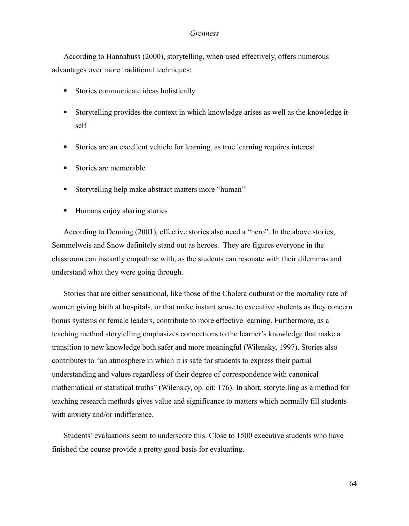According to Hannabuss (2000), storytelling, when used effectively, offers numerous advantages over more traditional techniques:

- Stories communicate ideas holistically
- Storytelling provides the context in which knowledge arises as well as the knowledge itself
- Stories are an excellent vehicle for learning, as true learning requires interest
- Stories are memorable
- Storytelling help make abstract matters more "human"
- Humans enjoy sharing stories

According to Denning (2001), effective stories also need a "hero". In the above stories, Semmelweis and Snow definitely stand out as heroes. They are figures everyone in the classroom can instantly empathise with, as the students can resonate with their dilemmas and understand what they were going through.

Stories that are either sensational, like those of the Cholera outburst or the mortality rate of women giving birth at hospitals, or that make instant sense to executive students as they concern bonus systems or female leaders, contribute to more effective learning. Furthermore, as a teaching method storytelling emphasizes connections to the learner's knowledge that make a transition to new knowledge both safer and more meaningful (Wilensky, 1997). Stories also contributes to "an atmosphere in which it is safe for students to express their partial understanding and values regardless of their degree of correspondence with canonical mathematical or statistical truths" (Wilensky, op. cit: 176). In short, storytelling as a method for teaching research methods gives value and significance to matters which normally fill students with anxiety and/or indifference.

Students' evaluations seem to underscore this. Close to 1500 executive students who have finished the course provide a pretty good basis for evaluating.

64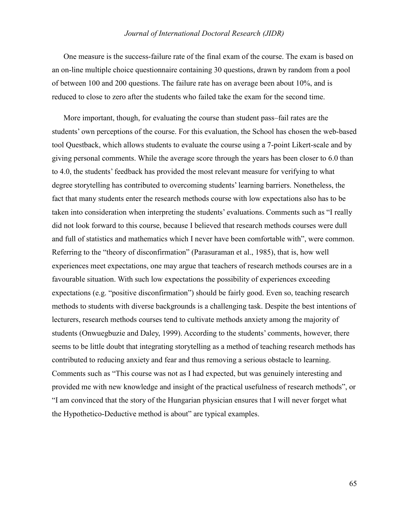One measure is the success-failure rate of the final exam of the course. The exam is based on an on-line multiple choice questionnaire containing 30 questions, drawn by random from a pool of between 100 and 200 questions. The failure rate has on average been about 10%, and is reduced to close to zero after the students who failed take the exam for the second time.

More important, though, for evaluating the course than student pass–fail rates are the students' own perceptions of the course. For this evaluation, the School has chosen the web-based tool Questback, which allows students to evaluate the course using a 7-point Likert-scale and by giving personal comments. While the average score through the years has been closer to 6.0 than to 4.0, the students' feedback has provided the most relevant measure for verifying to what degree storytelling has contributed to overcoming students' learning barriers. Nonetheless, the fact that many students enter the research methods course with low expectations also has to be taken into consideration when interpreting the students' evaluations. Comments such as "I really did not look forward to this course, because I believed that research methods courses were dull and full of statistics and mathematics which I never have been comfortable with", were common. Referring to the "theory of disconfirmation" (Parasuraman et al., 1985), that is, how well experiences meet expectations, one may argue that teachers of research methods courses are in a favourable situation. With such low expectations the possibility of experiences exceeding expectations (e.g. "positive disconfirmation") should be fairly good. Even so, teaching research methods to students with diverse backgrounds is a challenging task. Despite the best intentions of lecturers, research methods courses tend to cultivate methods anxiety among the majority of students (Onwuegbuzie and Daley, 1999). According to the students' comments, however, there seems to be little doubt that integrating storytelling as a method of teaching research methods has contributed to reducing anxiety and fear and thus removing a serious obstacle to learning. Comments such as "This course was not as I had expected, but was genuinely interesting and provided me with new knowledge and insight of the practical usefulness of research methods", or "I am convinced that the story of the Hungarian physician ensures that I will never forget what the Hypothetico-Deductive method is about" are typical examples.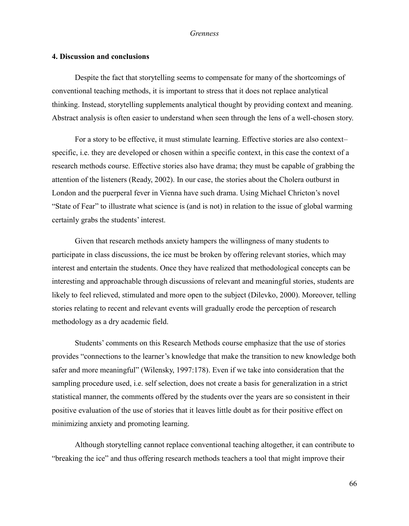### **4. Discussion and conclusions**

Despite the fact that storytelling seems to compensate for many of the shortcomings of conventional teaching methods, it is important to stress that it does not replace analytical thinking. Instead, storytelling supplements analytical thought by providing context and meaning. Abstract analysis is often easier to understand when seen through the lens of a well-chosen story.

For a story to be effective, it must stimulate learning. Effective stories are also context– specific, i.e. they are developed or chosen within a specific context, in this case the context of a research methods course. Effective stories also have drama; they must be capable of grabbing the attention of the listeners (Ready, 2002). In our case, the stories about the Cholera outburst in London and the puerperal fever in Vienna have such drama. Using Michael Chricton's novel "State of Fear" to illustrate what science is (and is not) in relation to the issue of global warming certainly grabs the students' interest.

Given that research methods anxiety hampers the willingness of many students to participate in class discussions, the ice must be broken by offering relevant stories, which may interest and entertain the students. Once they have realized that methodological concepts can be interesting and approachable through discussions of relevant and meaningful stories, students are likely to feel relieved, stimulated and more open to the subject (Dilevko, 2000). Moreover, telling stories relating to recent and relevant events will gradually erode the perception of research methodology as a dry academic field.

Students' comments on this Research Methods course emphasize that the use of stories provides "connections to the learner's knowledge that make the transition to new knowledge both safer and more meaningful" (Wilensky, 1997:178). Even if we take into consideration that the sampling procedure used, i.e. self selection, does not create a basis for generalization in a strict statistical manner, the comments offered by the students over the years are so consistent in their positive evaluation of the use of stories that it leaves little doubt as for their positive effect on minimizing anxiety and promoting learning.

Although storytelling cannot replace conventional teaching altogether, it can contribute to "breaking the ice" and thus offering research methods teachers a tool that might improve their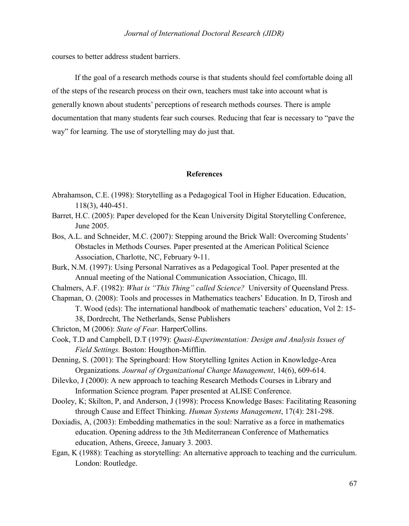courses to better address student barriers.

If the goal of a research methods course is that students should feel comfortable doing all of the steps of the research process on their own, teachers must take into account what is generally known about students' perceptions of research methods courses. There is ample documentation that many students fear such courses. Reducing that fear is necessary to "pave the way" for learning. The use of storytelling may do just that.

# **References**

- Abrahamson, C.E. (1998): Storytelling as a Pedagogical Tool in Higher Education. Education, 118(3), 440-451.
- Barret, H.C. (2005): Paper developed for the Kean University Digital Storytelling Conference, June 2005.
- Bos, A.L. and Schneider, M.C. (2007): Stepping around the Brick Wall: Overcoming Students' Obstacles in Methods Courses. Paper presented at the American Political Science Association, Charlotte, NC, February 9-11.
- Burk, N.M. (1997): Using Personal Narratives as a Pedagogical Tool. Paper presented at the Annual meeting of the National Communication Association, Chicago, Ill.
- Chalmers, A.F. (1982): *What is "This Thing" called Science?* University of Queensland Press.
- Chapman, O. (2008): Tools and processes in Mathematics teachers' Education. In D, Tirosh and T. Wood (eds): The international handbook of mathematic teachers' education, Vol 2: 15- 38, Dordrecht, The Netherlands, Sense Publishers
- Chricton, M (2006): *State of Fear.* HarperCollins.
- Cook, T.D and Campbell, D.T (1979): *Quasi-Experimentation: Design and Analysis Issues of Field Settings.* Boston: Hougthon-Mifflin.
- Denning, S. (2001): The Springboard: How Storytelling Ignites Action in Knowledge-Area Organizations*. Journal of Organizational Change Management*, 14(6), 609-614.
- Dilevko, J (2000): A new approach to teaching Research Methods Courses in Library and Information Science program*.* Paper presented at ALISE Conference.
- Dooley, K; Skilton, P, and Anderson, J (1998): Process Knowledge Bases: Facilitating Reasoning through Cause and Effect Thinking. *Human Systems Management*, 17(4): 281-298.
- Doxiadis, A, (2003): Embedding mathematics in the soul: Narrative as a force in mathematics education. Opening address to the 3th Mediterranean Conference of Mathematics education, Athens, Greece, January 3. 2003.
- Egan, K (1988): Teaching as storytelling: An alternative approach to teaching and the curriculum. London: Routledge.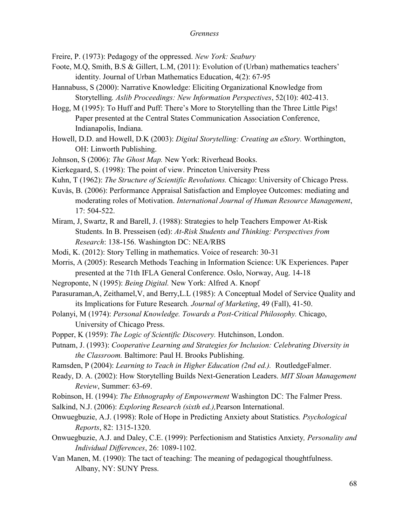Freire, P. (1973): Pedagogy of the oppressed. *New York: Seabury*

- Foote, M.Q, Smith, B.S & Gillert, L.M, (2011): Evolution of (Urban) mathematics teachers' identity. Journal of Urban Mathematics Education, 4(2): 67-95
- Hannabuss, S (2000): Narrative Knowledge: Eliciting Organizational Knowledge from Storytelling*. Aslib Proceedings: New Information Perspectives*, 52(10): 402-413.
- Hogg, M (1995): To Huff and Puff: There's More to Storytelling than the Three Little Pigs! Paper presented at the Central States Communication Association Conference, Indianapolis, Indiana.
- Howell, D.D. and Howell, D.K (2003): *Digital Storytelling: Creating an eStory.* Worthington, OH: Linworth Publishing.
- Johnson, S (2006): *The Ghost Map.* New York: Riverhead Books.
- Kierkegaard, S. (1998): The point of view. Princeton University Press
- Kuhn, T (1962): *The Structure of Scientific Revolutions.* Chicago: University of Chicago Press.
- Kuvås, B. (2006): Performance Appraisal Satisfaction and Employee Outcomes: mediating and moderating roles of Motivation. *International Journal of Human Resource Management*, 17: 504-522.
- Miram, J, Swartz, R and Barell, J. (1988): Strategies to help Teachers Empower At-Risk Students. In B. Presseisen (ed): *At-Risk Students and Thinking: Perspectives from Research*: 138-156. Washington DC: NEA/RBS
- Modi, K. (2012): Story Telling in mathematics. Voice of research: 30-31
- Morris, A (2005): Research Methods Teaching in Information Science: UK Experiences. Paper presented at the 71th IFLA General Conference. Oslo, Norway, Aug. 14-18
- Negroponte, N (1995): *Being Digital.* New York: Alfred A. Knopf
- Parasuraman,A, Zeithamel,V, and Berry,L.L (1985): A Conceptual Model of Service Quality and its Implications for Future Research*. Journal of Marketing*, 49 (Fall), 41-50.
- Polanyi, M (1974): *Personal Knowledge. Towards a Post-Critical Philosophy.* Chicago, University of Chicago Press.
- Popper, K (1959): *The Logic of Scientific Discovery.* Hutchinson, London.
- Putnam, J. (1993): *Cooperative Learning and Strategies for Inclusion: Celebrating Diversity in the Classroom.* Baltimore: Paul H. Brooks Publishing.
- Ramsden, P (2004): *Learning to Teach in Higher Education (2nd ed.).* RoutledgeFalmer.
- Ready, D. A. (2002): How Storytelling Builds Next-Generation Leaders. *MIT Sloan Management Review*, Summer: 63-69.
- Robinson, H. (1994): *The Ethnography of Empowerment* Washington DC: The Falmer Press.
- Salkind, N.J. (2006): *Exploring Research (sixth ed.),*Pearson International.
- Onwuegbuzie, A.J. (1998): Role of Hope in Predicting Anxiety about Statistics*. Psychological Reports*, 82: 1315-1320.
- Onwuegbuzie, A.J. and Daley, C.E. (1999): Perfectionism and Statistics Anxiety*, Personality and Individual Differences*, 26: 1089-1102.
- Van Manen, M. (1990): The tact of teaching: The meaning of pedagogical thoughtfulness. Albany, NY: SUNY Press.